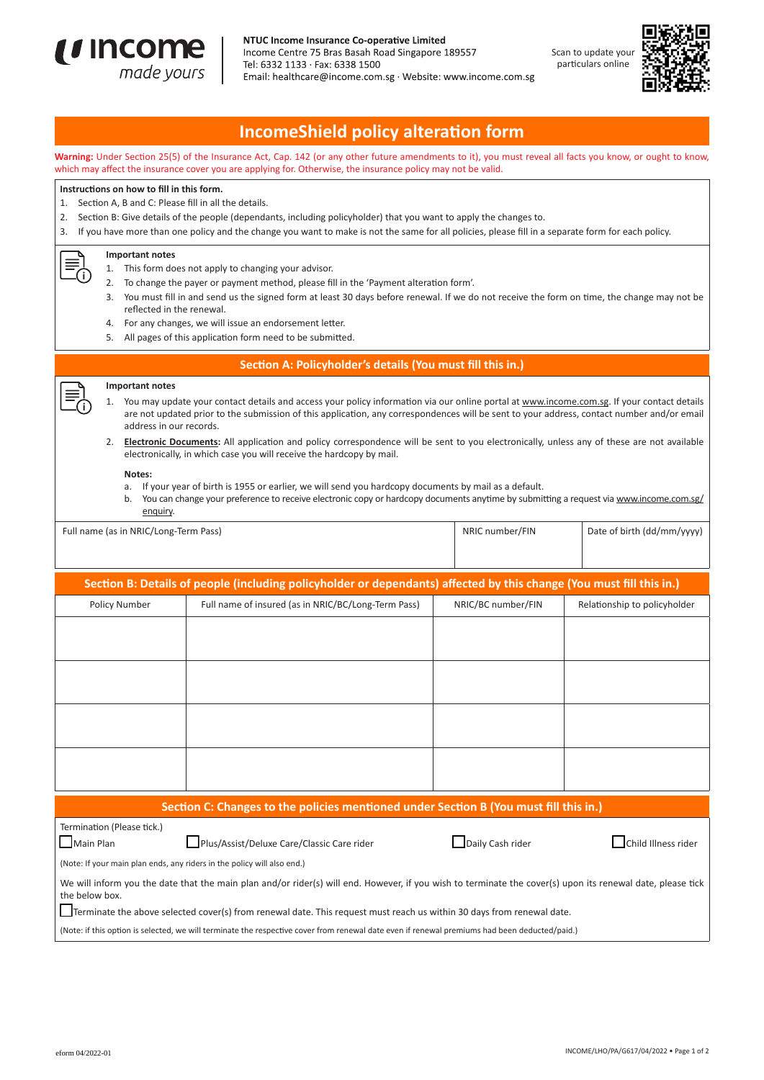

#### NTUC Income Insurance Co-operative Limited

Income Centre 75 Bras Basah Road Singapore 189557 Tel: 6332 1133 · Fax: 6338 1500 Email: healthcare@income.com.sg · Website: www.income.com.sg





# **IncomeShield policy alteration form**

**Warning:** Under Section 25(5) of the Insurance Act, Cap. 142 (or any other future amendments to it), you must reveal all facts you know, or ought to know, which may affect the insurance cover you are applying for. Otherwise, the insurance policy may not be valid.

## **Instructions on how to fill in this form.**

- 1. Section A, B and C: Please fill in all the details.
- 2. Section B: Give details of the people (dependants, including policyholder) that you want to apply the changes to.

3. If you have more than one policy and the change you want to make is not the same for all policies, please fill in a separate form for each policy.

#### **Important notes**

- 1. This form does not apply to changing your advisor.
- 2. To change the payer or payment method, please fill in the 'Payment alteration form'.
- 3. You must fill in and send us the signed form at least 30 days before renewal. If we do not receive the form on time, the change may not be reflected in the renewal.
- 4. For any changes, we will issue an endorsement letter.
- 5. All pages of this application form need to be submitted.

### **Section A: Policyholder's details (You must fill this in.)**

## **Important notes**

1. You may update your contact details and access your policy information via our online portal at www.income.com.sg. If your contact details are not updated prior to the submission of this application, any correspondences will be sent to your address, contact number and/or email address in our records.

2. **Electronic Documents:** All application and policy correspondence will be sent to you electronically, unless any of these are not available electronically, in which case you will receive the hardcopy by mail.

#### **Notes:**

- a. If your year of birth is 1955 or earlier, we will send you hardcopy documents by mail as a default.
- b. You can change your preference to receive electronic copy or hardcopy documents anytime by submitting a request via www.income.com.sg/ enquiry.

| Full name (as in NRIC/Long-Term Pass) | NRIC number/FIN | Date of birth (dd/mm/yyyy) |
|---------------------------------------|-----------------|----------------------------|
|                                       |                 |                            |

| Section B: Details of people (including policyholder or dependants) affected by this change (You must fill this in.)  |                                                                                                                                                            |                    |                              |  |  |
|-----------------------------------------------------------------------------------------------------------------------|------------------------------------------------------------------------------------------------------------------------------------------------------------|--------------------|------------------------------|--|--|
| Policy Number                                                                                                         | Full name of insured (as in NRIC/BC/Long-Term Pass)                                                                                                        | NRIC/BC number/FIN | Relationship to policyholder |  |  |
|                                                                                                                       |                                                                                                                                                            |                    |                              |  |  |
|                                                                                                                       |                                                                                                                                                            |                    |                              |  |  |
|                                                                                                                       |                                                                                                                                                            |                    |                              |  |  |
|                                                                                                                       |                                                                                                                                                            |                    |                              |  |  |
|                                                                                                                       |                                                                                                                                                            |                    |                              |  |  |
|                                                                                                                       |                                                                                                                                                            |                    |                              |  |  |
|                                                                                                                       |                                                                                                                                                            |                    |                              |  |  |
|                                                                                                                       |                                                                                                                                                            |                    |                              |  |  |
|                                                                                                                       |                                                                                                                                                            |                    |                              |  |  |
|                                                                                                                       |                                                                                                                                                            |                    |                              |  |  |
| Section C: Changes to the policies mentioned under Section B (You must fill this in.)                                 |                                                                                                                                                            |                    |                              |  |  |
| Termination (Please tick.)<br>$\Box$ Main Plan                                                                        | Plus/Assist/Deluxe Care/Classic Care rider                                                                                                                 | Daily Cash rider   | Child Illness rider          |  |  |
|                                                                                                                       | (Note: If your main plan ends, any riders in the policy will also end.)                                                                                    |                    |                              |  |  |
| the below box.                                                                                                        | We will inform you the date that the main plan and/or rider(s) will end. However, if you wish to terminate the cover(s) upon its renewal date, please tick |                    |                              |  |  |
| Terminate the above selected cover(s) from renewal date. This request must reach us within 30 days from renewal date. |                                                                                                                                                            |                    |                              |  |  |

(Note: if this option is selected, we will terminate the respective cover from renewal date even if renewal premiums had been deducted/paid.)